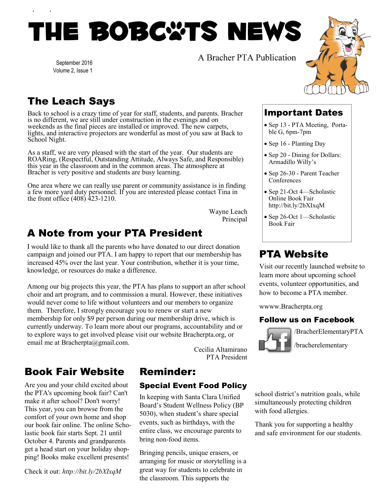# THE BOBC\*TS NEWS

A Bracher PTA Publication

September 2016 Volume 2, Issue 1

# The Leach Says

Back to school is a crazy time of year for staff, students, and parents. Bracher is no different, we are still under construction in the evenings and on weekends as the final pieces are installed or improved. The new carpets, lights, and interactive projectors are wonderful as most of you saw at Back to School Night.

As a staff, we are very pleased with the start of the year. Our students are ROARing, (Respectful, Outstanding Attitude, Always Safe, and Responsible) this year in the classroom and in the common areas. The atmosphere at Bracher is very positive and students are busy learning.

One area where we can really use parent or community assistance is in finding a few more yard duty personnel. If you are interested please contact Tina in the front office (408) 423-1210.

> Wayne Leach Principal

## A Note from your PTA President

I would like to thank all the parents who have donated to our direct donation campaign and joined our PTA. I am happy to report that our membership has increased 45% over the last year. Your contribution, whether it is your time, knowledge, or resources do make a difference.

Among our big projects this year, the PTA has plans to support an after school choir and art program, and to commission a mural. However, these initiatives would never come to life without volunteers and our members to organize them. Therefore, I strongly encourage you to renew or start a new membership for only \$9 per person during our membership drive, which is currently underway. To learn more about our programs, accountability and or to explore ways to get involved please visit our website Bracherpta.org, or email me at Bracherpta@gmail.com.



/BracherElementaryPTA

/bracherelementary

Cecilia Altamirano PTA President

## Book Fair Website

Are you and your child excited about the PTA's upcoming book fair? Can't make it after school? Don't worry! This year, you can browse from the comfort of your own home and shop our book fair online. The online Scholastic book fair starts Sept. 21 until October 4. Parents and grandparents get a head start on your holiday shopping! Books make excellent presents!

Check it out: *http://bit.ly/2bXIxqM*

## Reminder:

#### Special Event Food Policy

In keeping with Santa Clara Unified Board's Student Wellness Policy (BP 5030), when student's share special events, such as birthdays, with the entire class, we encourage parents to bring non-food items.

Bringing pencils, unique erasers, or arranging for music or storytelling is a great way for students to celebrate in the classroom. This supports the

school district's nutrition goals, while simultaneously protecting children with food allergies.

Thank you for supporting a healthy and safe environment for our students.



Important Dates • Sep 13 - PTA Meeting, Porta-

• Sep 20 - Dining for Dollars:

Sep 26-30 - Parent Teacher

• Sep 21-Oct 4—Scholastic Online Book Fair http://bit.ly/2bXIxqM • Sep 26-Oct 1—Scholastic

ble G, 6pm-7pm • Sep 16 - Planting Day

Armadillo Willy's

Conferences

Book Fair

PTA Website

wwww.Bracherpta.org

Visit our recently launched website to learn more about upcoming school events, volunteer opportunities, and how to become a PTA member.

Follow us on Facebook